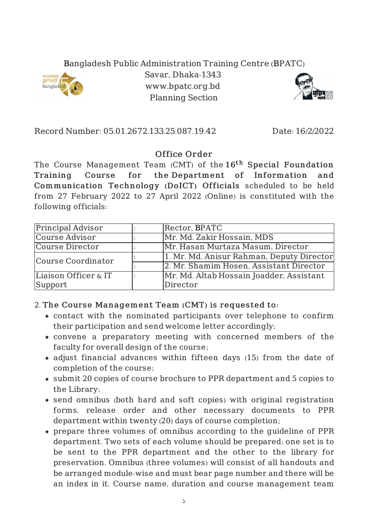## Bangladesh Public Administration Training Centre (BPATC)



Savar, Dhaka-1343 www.bpatc.org.bd Planning Section



Record Number: 05.01.2672.133.25.087.19.42 Date: 16/2/2022

## Office Order

The Course Management Team (CMT) of the  $16^{\rm th}$  Special Foundation Training Course for the Department of Information and Communication Technology (DoICT) Officials scheduled to be held from 27 February 2022 to 27 April 2022 (Online) is constituted with the following officials:

| <b>Principal Advisor</b> | Rector, BPATC                             |
|--------------------------|-------------------------------------------|
| Course Advisor           | Mr. Md. Zakir Hossain, MDS                |
| Course Director          | Mr. Hasan Murtaza Masum, Director         |
| Course Coordinator       | 1. Mr. Md. Anisur Rahman, Deputy Director |
|                          | 2. Mr. Shamim Hosen, Assistant Director   |
| Liaison Officer & IT     | Mr. Md. Altab Hossain Joadder, Assistant  |
| Support                  | Director                                  |

## 2. The Course Management Team (CMT) is requested to:

- contact with the nominated participants over telephone to confirm their participation and send welcome letter accordingly;
- convene a preparatory meeting with concerned members of the faculty for overall design of the course;
- adjust financial advances within fifteen days (15) from the date of completion of the course;
- submit 20 copies of course brochure to PPR department and 5 copies to the Library;
- send omnibus (both hard and soft copies) with original registration forms, release order and other necessary documents to PPR department within twenty (20) days of course completion;
- prepare three volumes of omnibus according to the guideline of PPR department. Two sets of each volume should be prepared; one set is to be sent to the PPR department and the other to the library for preservation. Omnibus (three volumes) will consist of all handouts and be arranged module-wise and must bear page number and there will be an index in it. Course name, duration and course management team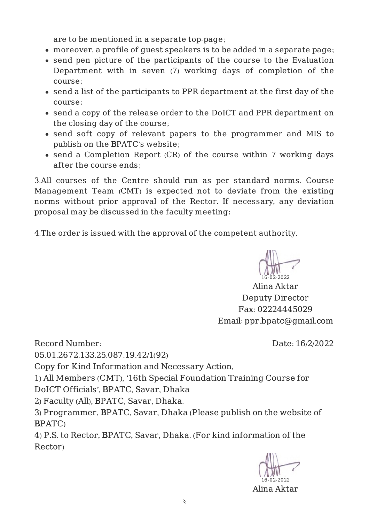are to be mentioned in a separate top-page;

- moreover, a profile of guest speakers is to be added in a separate page;
- send pen picture of the participants of the course to the Evaluation Department with in seven (7) working days of completion of the course;
- send a list of the participants to PPR department at the first day of the course;
- send a copy of the release order to the DoICT and PPR department on the closing day of the course;
- send soft copy of relevant papers to the programmer and MIS to publish on the BPATC's website;
- send a Completion Report (CR) of the course within 7 working days after the course ends;

3.All courses of the Centre should run as per standard norms. Course Management Team (CMT) is expected not to deviate from the existing norms without prior approval of the Rector. If necessary, any deviation proposal may be discussed in the faculty meeting;

4.The order is issued with the approval of the competent authority.

6.02.2022

Alina Aktar Deputy Director Fax: 02224445029 Email: ppr.bpatc@gmail.com

Date: 16/2/2022

Record Number:

05.01.2672.133.25.087.19.42/1(92)

Copy for Kind Information and Necessary Action,

1) All Members (CMT), '16th Special Foundation Training Course for

DoICT Officials', BPATC, Savar, Dhaka

2) Faculty (All), BPATC, Savar, Dhaka.

3) Programmer, BPATC, Savar, Dhaka (Please publish on the website of BPATC)

4) P.S. to Rector, BPATC, Savar, Dhaka. (For kind information of the Rector)

16-02-2022

Alina Aktar